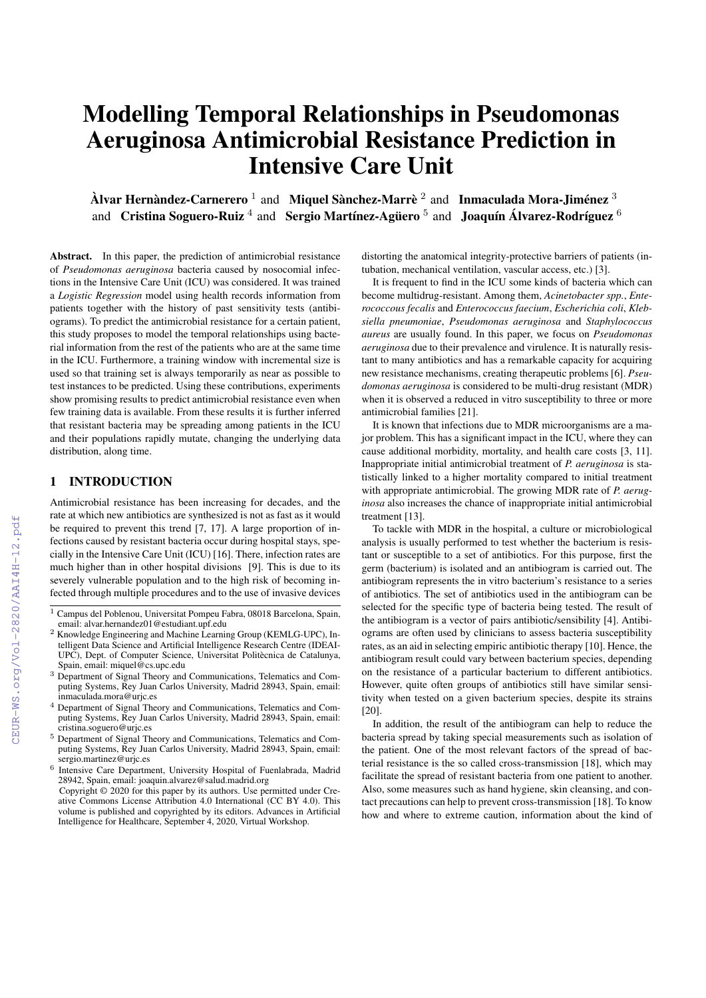# Modelling Temporal Relationships in Pseudomonas Aeruginosa Antimicrobial Resistance Prediction in Intensive Care Unit

 $\grave{\textbf{A}}$ lvar Hernàndez-Carnerero  $^1$  and Miquel Sànchez-Marrè  $^2$  and Inmaculada Mora-Jiménez  $^3$ and Cristina Soguero-Ruiz  $^4$  and Sergio Martínez-Agüero  $^5$  and Joaquín Álvarez-Rodríguez  $^6$ 

Abstract. In this paper, the prediction of antimicrobial resistance of *Pseudomonas aeruginosa* bacteria caused by nosocomial infections in the Intensive Care Unit (ICU) was considered. It was trained a *Logistic Regression* model using health records information from patients together with the history of past sensitivity tests (antibiograms). To predict the antimicrobial resistance for a certain patient, this study proposes to model the temporal relationships using bacterial information from the rest of the patients who are at the same time in the ICU. Furthermore, a training window with incremental size is used so that training set is always temporarily as near as possible to test instances to be predicted. Using these contributions, experiments show promising results to predict antimicrobial resistance even when few training data is available. From these results it is further inferred that resistant bacteria may be spreading among patients in the ICU and their populations rapidly mutate, changing the underlying data distribution, along time.

#### 1 INTRODUCTION

Antimicrobial resistance has been increasing for decades, and the rate at which new antibiotics are synthesized is not as fast as it would be required to prevent this trend [7, 17]. A large proportion of infections caused by resistant bacteria occur during hospital stays, specially in the Intensive Care Unit (ICU) [16]. There, infection rates are much higher than in other hospital divisions [9]. This is due to its severely vulnerable population and to the high risk of becoming infected through multiple procedures and to the use of invasive devices

6 Intensive Care Department, University Hospital of Fuenlabrada, Madrid 28942, Spain, email: joaquin.alvarez@salud.madrid.org

distorting the anatomical integrity-protective barriers of patients (intubation, mechanical ventilation, vascular access, etc.) [3].

It is frequent to find in the ICU some kinds of bacteria which can become multidrug-resistant. Among them, *Acinetobacter spp.*, *Enterococcous fecalis* and *Enterococcus faecium*, *Escherichia coli*, *Klebsiella pneumoniae*, *Pseudomonas aeruginosa* and *Staphylococcus aureus* are usually found. In this paper, we focus on *Pseudomonas aeruginosa* due to their prevalence and virulence. It is naturally resistant to many antibiotics and has a remarkable capacity for acquiring new resistance mechanisms, creating therapeutic problems [6]. *Pseudomonas aeruginosa* is considered to be multi-drug resistant (MDR) when it is observed a reduced in vitro susceptibility to three or more antimicrobial families [21].

It is known that infections due to MDR microorganisms are a major problem. This has a significant impact in the ICU, where they can cause additional morbidity, mortality, and health care costs [3, 11]. Inappropriate initial antimicrobial treatment of *P. aeruginosa* is statistically linked to a higher mortality compared to initial treatment with appropriate antimicrobial. The growing MDR rate of *P. aeruginosa* also increases the chance of inappropriate initial antimicrobial treatment [13].

To tackle with MDR in the hospital, a culture or microbiological analysis is usually performed to test whether the bacterium is resistant or susceptible to a set of antibiotics. For this purpose, first the germ (bacterium) is isolated and an antibiogram is carried out. The antibiogram represents the in vitro bacterium's resistance to a series of antibiotics. The set of antibiotics used in the antibiogram can be selected for the specific type of bacteria being tested. The result of the antibiogram is a vector of pairs antibiotic/sensibility [4]. Antibiograms are often used by clinicians to assess bacteria susceptibility rates, as an aid in selecting empiric antibiotic therapy [10]. Hence, the antibiogram result could vary between bacterium species, depending on the resistance of a particular bacterium to different antibiotics. However, quite often groups of antibiotics still have similar sensitivity when tested on a given bacterium species, despite its strains [20].

In addition, the result of the antibiogram can help to reduce the bacteria spread by taking special measurements such as isolation of the patient. One of the most relevant factors of the spread of bacterial resistance is the so called cross-transmission [18], which may facilitate the spread of resistant bacteria from one patient to another. Also, some measures such as hand hygiene, skin cleansing, and contact precautions can help to prevent cross-transmission [18]. To know how and where to extreme caution, information about the kind of

<sup>&</sup>lt;sup>1</sup> Campus del Poblenou, Universitat Pompeu Fabra, 08018 Barcelona, Spain, email: alvar.hernandez01@estudiant.upf.edu

<sup>2</sup> Knowledge Engineering and Machine Learning Group (KEMLG-UPC), Intelligent Data Science and Artificial Intelligence Research Centre (IDEAI-UPC), Dept. of Computer Science, Universitat Politècnica de Catalunya, Spain, email: miquel@cs.upc.edu

<sup>&</sup>lt;sup>3</sup> Department of Signal Theory and Communications, Telematics and Computing Systems, Rey Juan Carlos University, Madrid 28943, Spain, email: inmaculada.mora@urjc.es

<sup>4</sup> Department of Signal Theory and Communications, Telematics and Computing Systems, Rey Juan Carlos University, Madrid 28943, Spain, email: cristina.soguero@urjc.es

<sup>5</sup> Department of Signal Theory and Communications, Telematics and Computing Systems, Rey Juan Carlos University, Madrid 28943, Spain, email: sergio.martinez@urjc.es

Copyright © 2020 for this paper by its authors. Use permitted under Creative Commons License Attribution 4.0 International (CC BY 4.0). This volume is published and copyrighted by its editors. Advances in Artificial Intelligence for Healthcare, September 4, 2020, Virtual Workshop.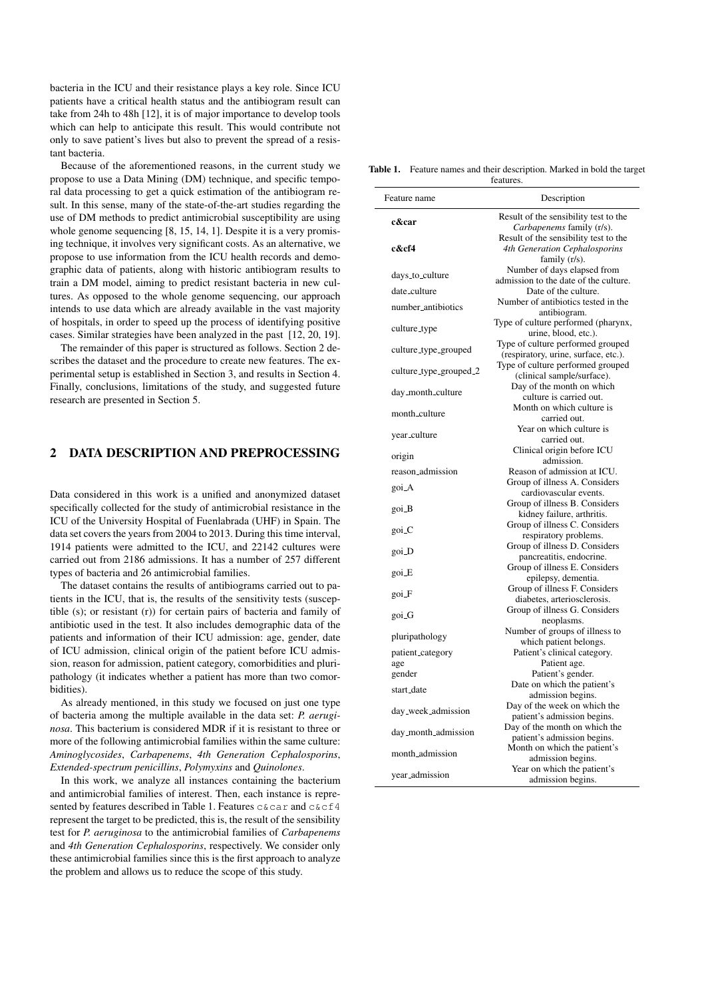bacteria in the ICU and their resistance plays a key role. Since ICU patients have a critical health status and the antibiogram result can take from 24h to 48h [12], it is of major importance to develop tools which can help to anticipate this result. This would contribute not only to save patient's lives but also to prevent the spread of a resistant bacteria.

Because of the aforementioned reasons, in the current study we propose to use a Data Mining (DM) technique, and specific temporal data processing to get a quick estimation of the antibiogram result. In this sense, many of the state-of-the-art studies regarding the use of DM methods to predict antimicrobial susceptibility are using whole genome sequencing [8, 15, 14, 1]. Despite it is a very promising technique, it involves very significant costs. As an alternative, we propose to use information from the ICU health records and demographic data of patients, along with historic antibiogram results to train a DM model, aiming to predict resistant bacteria in new cultures. As opposed to the whole genome sequencing, our approach intends to use data which are already available in the vast majority of hospitals, in order to speed up the process of identifying positive cases. Similar strategies have been analyzed in the past [12, 20, 19].

The remainder of this paper is structured as follows. Section 2 describes the dataset and the procedure to create new features. The experimental setup is established in Section 3, and results in Section 4. Finally, conclusions, limitations of the study, and suggested future research are presented in Section 5.

## 2 DATA DESCRIPTION AND PREPROCESSING

Data considered in this work is a unified and anonymized dataset specifically collected for the study of antimicrobial resistance in the ICU of the University Hospital of Fuenlabrada (UHF) in Spain. The data set covers the years from 2004 to 2013. During this time interval, 1914 patients were admitted to the ICU, and 22142 cultures were carried out from 2186 admissions. It has a number of 257 different types of bacteria and 26 antimicrobial families.

The dataset contains the results of antibiograms carried out to patients in the ICU, that is, the results of the sensitivity tests (susceptible (s); or resistant (r)) for certain pairs of bacteria and family of antibiotic used in the test. It also includes demographic data of the patients and information of their ICU admission: age, gender, date of ICU admission, clinical origin of the patient before ICU admission, reason for admission, patient category, comorbidities and pluripathology (it indicates whether a patient has more than two comorbidities).

As already mentioned, in this study we focused on just one type of bacteria among the multiple available in the data set: *P. aeruginosa*. This bacterium is considered MDR if it is resistant to three or more of the following antimicrobial families within the same culture: *Aminoglycosides*, *Carbapenems*, *4th Generation Cephalosporins*, *Extended-spectrum penicillins*, *Polymyxins* and *Quinolones*.

In this work, we analyze all instances containing the bacterium and antimicrobial families of interest. Then, each instance is represented by features described in Table 1. Features c&car and c&cf4 represent the target to be predicted, this is, the result of the sensibility test for *P. aeruginosa* to the antimicrobial families of *Carbapenems* and *4th Generation Cephalosporins*, respectively. We consider only these antimicrobial families since this is the first approach to analyze the problem and allows us to reduce the scope of this study.

Table 1. Feature names and their description. Marked in bold the target features.

| Feature name            | Description                                                                             |
|-------------------------|-----------------------------------------------------------------------------------------|
| c&car                   | Result of the sensibility test to the<br>Carbapenems family (r/s).                      |
| c&cf4                   | Result of the sensibility test to the<br>4th Generation Cephalosporins<br>family (r/s). |
| days_to_culture         | Number of days elapsed from<br>admission to the date of the culture.                    |
| date_culture            | Date of the culture.                                                                    |
| number_antibiotics      | Number of antibiotics tested in the<br>antibiogram.                                     |
| culture_type            | Type of culture performed (pharynx,<br>urine, blood, etc.).                             |
| culture_type_grouped    | Type of culture performed grouped<br>(respiratory, urine, surface, etc.).               |
| culture_type_grouped_2  | Type of culture performed grouped<br>(clinical sample/surface).                         |
| day_month_culture       | Day of the month on which<br>culture is carried out.                                    |
| month_culture           | Month on which culture is<br>carried out.                                               |
| year_culture            | Year on which culture is<br>carried out.                                                |
| origin                  | Clinical origin before ICU                                                              |
| reason_admission        | admission.<br>Reason of admission at ICU.                                               |
| goi_A                   | Group of illness A. Considers                                                           |
|                         | cardiovascular events.                                                                  |
| goi_B                   | Group of illness B. Considers<br>kidney failure, arthritis.                             |
| goi_C                   | Group of illness C. Considers<br>respiratory problems.                                  |
| goi_D                   | Group of illness D. Considers<br>pancreatitis, endocrine.                               |
| goi_E                   | Group of illness E. Considers<br>epilepsy, dementia.                                    |
| goi_F                   | Group of illness F. Considers<br>diabetes, arteriosclerosis.                            |
| goi_G                   | Group of illness G. Considers<br>neoplasms.                                             |
| pluripathology          | Number of groups of illness to<br>which patient belongs.                                |
| patient_category<br>age | Patient's clinical category.<br>Patient age.                                            |
| gender                  | Patient's gender.                                                                       |
|                         | Date on which the patient's                                                             |
| start_date              | admission begins.                                                                       |
| day_week_admission      | Day of the week on which the<br>patient's admission begins.                             |
| day_month_admission     | Day of the month on which the<br>patient's admission begins.                            |
| month_admission         | Month on which the patient's<br>admission begins.                                       |
| year_admission          | Year on which the patient's<br>admission begins.                                        |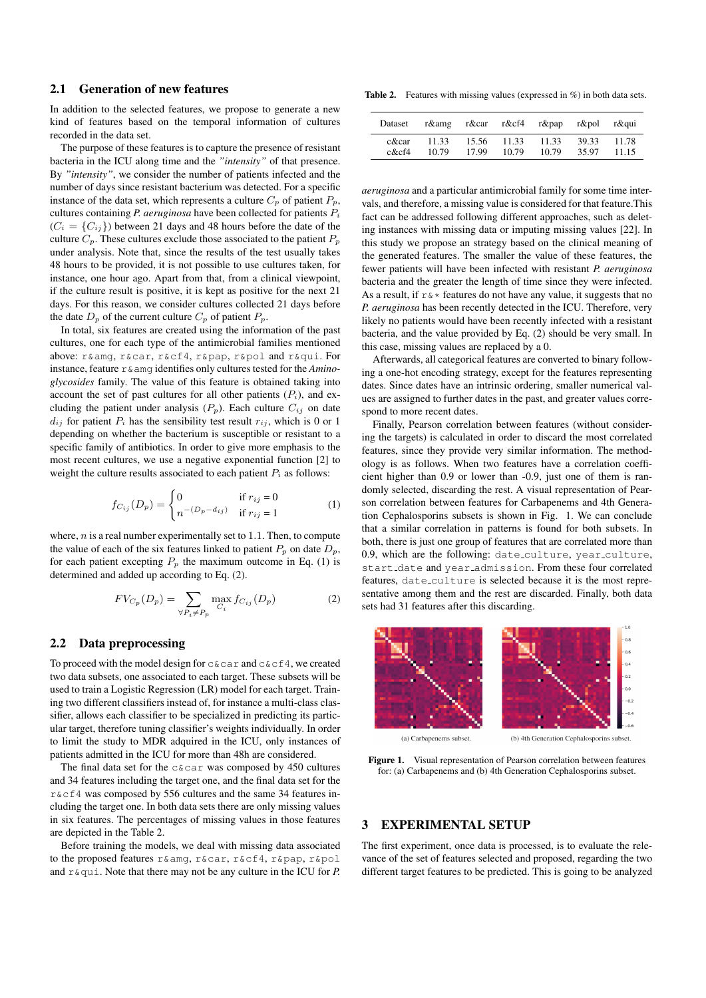## 2.1 Generation of new features

In addition to the selected features, we propose to generate a new kind of features based on the temporal information of cultures recorded in the data set.

The purpose of these features is to capture the presence of resistant bacteria in the ICU along time and the *"intensity"* of that presence. By *"intensity"*, we consider the number of patients infected and the number of days since resistant bacterium was detected. For a specific instance of the data set, which represents a culture  $C_p$  of patient  $P_p$ , cultures containing *P. aeruginosa* have been collected for patients  $P_i$  $(C_i = \{C_{ij}\})$  between 21 days and 48 hours before the date of the culture  $C_p$ . These cultures exclude those associated to the patient  $P_p$ under analysis. Note that, since the results of the test usually takes 48 hours to be provided, it is not possible to use cultures taken, for instance, one hour ago. Apart from that, from a clinical viewpoint, if the culture result is positive, it is kept as positive for the next 21 days. For this reason, we consider cultures collected 21 days before the date  $D_p$  of the current culture  $C_p$  of patient  $P_p$ .

In total, six features are created using the information of the past cultures, one for each type of the antimicrobial families mentioned above: r&amg, r&car, r&cf4, r&pap, r&pol and r&qui. For instance, feature r&amg identifies only cultures tested for the *Aminoglycosides* family. The value of this feature is obtained taking into account the set of past cultures for all other patients  $(P_i)$ , and excluding the patient under analysis  $(P_p)$ . Each culture  $C_{ij}$  on date  $d_{ij}$  for patient  $P_i$  has the sensibility test result  $r_{ij}$ , which is 0 or 1 depending on whether the bacterium is susceptible or resistant to a specific family of antibiotics. In order to give more emphasis to the most recent cultures, we use a negative exponential function [2] to weight the culture results associated to each patient  $P_i$  as follows:

$$
f_{C_{ij}}(D_p) = \begin{cases} 0 & \text{if } r_{ij} = 0\\ n^{-(D_p - d_{ij})} & \text{if } r_{ij} = 1 \end{cases}
$$
 (1)

where,  $n$  is a real number experimentally set to 1.1. Then, to compute the value of each of the six features linked to patient  $P_p$  on date  $D_p$ , for each patient excepting  $P_p$  the maximum outcome in Eq. (1) is determined and added up according to Eq. (2).

$$
FV_{C_p}(D_p) = \sum_{\forall P_i \neq P_p} \max_{C_i} f_{C_{ij}}(D_p) \tag{2}
$$

#### 2.2 Data preprocessing

To proceed with the model design for  $c \&c \text{ar}$  and  $c \&c \text{f4}$ , we created two data subsets, one associated to each target. These subsets will be used to train a Logistic Regression (LR) model for each target. Training two different classifiers instead of, for instance a multi-class classifier, allows each classifier to be specialized in predicting its particular target, therefore tuning classifier's weights individually. In order to limit the study to MDR adquired in the ICU, only instances of patients admitted in the ICU for more than 48h are considered.

The final data set for the c&car was composed by 450 cultures and 34 features including the target one, and the final data set for the r&cf4 was composed by 556 cultures and the same 34 features including the target one. In both data sets there are only missing values in six features. The percentages of missing values in those features are depicted in the Table 2.

Before training the models, we deal with missing data associated to the proposed features r&amg, r&car, r&cf4, r&pap, r&pol and  $r \&$  qui. Note that there may not be any culture in the ICU for *P*.

Table 2. Features with missing values (expressed in %) in both data sets.

| Dataset      |       |             |       | r&amg r&car r&cf4 r&pap r&pol |       | r&qui |
|--------------|-------|-------------|-------|-------------------------------|-------|-------|
| c&car        | 11.33 | 15.56 11.33 | 10.79 | 11.33                         | 39.33 | 11.78 |
| $c$ & $cf$ 4 | 10.79 | 17.99       |       | 10.79                         | 35.97 | 11.15 |

*aeruginosa* and a particular antimicrobial family for some time intervals, and therefore, a missing value is considered for that feature.This fact can be addressed following different approaches, such as deleting instances with missing data or imputing missing values [22]. In this study we propose an strategy based on the clinical meaning of the generated features. The smaller the value of these features, the fewer patients will have been infected with resistant *P. aeruginosa* bacteria and the greater the length of time since they were infected. As a result, if  $r \*$  features do not have any value, it suggests that no *P. aeruginosa* has been recently detected in the ICU. Therefore, very likely no patients would have been recently infected with a resistant bacteria, and the value provided by Eq. (2) should be very small. In this case, missing values are replaced by a 0.

Afterwards, all categorical features are converted to binary following a one-hot encoding strategy, except for the features representing dates. Since dates have an intrinsic ordering, smaller numerical values are assigned to further dates in the past, and greater values correspond to more recent dates.

Finally, Pearson correlation between features (without considering the targets) is calculated in order to discard the most correlated features, since they provide very similar information. The methodology is as follows. When two features have a correlation coefficient higher than 0.9 or lower than -0.9, just one of them is randomly selected, discarding the rest. A visual representation of Pearson correlation between features for Carbapenems and 4th Generation Cephalosporins subsets is shown in Fig. 1. We can conclude that a similar correlation in patterns is found for both subsets. In both, there is just one group of features that are correlated more than 0.9, which are the following: date culture, year culture, start date and year admission. From these four correlated features, date\_culture is selected because it is the most representative among them and the rest are discarded. Finally, both data sets had 31 features after this discarding.



(a) Carbapenems subset.

(b) 4th Generation Cephalosporins subset

Figure 1. Visual representation of Pearson correlation between features for: (a) Carbapenems and (b) 4th Generation Cephalosporins subset.

## 3 EXPERIMENTAL SETUP

The first experiment, once data is processed, is to evaluate the relevance of the set of features selected and proposed, regarding the two different target features to be predicted. This is going to be analyzed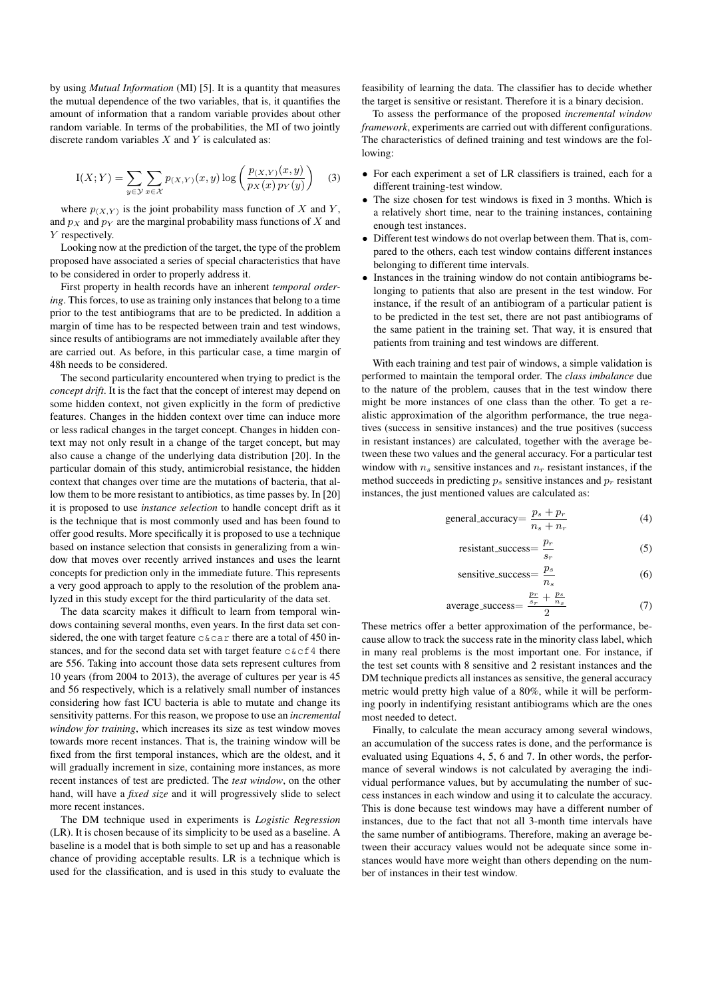by using *Mutual Information* (MI) [5]. It is a quantity that measures the mutual dependence of the two variables, that is, it quantifies the amount of information that a random variable provides about other random variable. In terms of the probabilities, the MI of two jointly discrete random variables  $X$  and  $Y$  is calculated as:

$$
I(X;Y) = \sum_{y \in \mathcal{Y}} \sum_{x \in \mathcal{X}} p(x,y)(x,y) \log \left( \frac{p(x,y)(x,y)}{p_X(x)p_Y(y)} \right) \quad (3)
$$

where  $p_{(X,Y)}$  is the joint probability mass function of X and Y, and  $p<sub>X</sub>$  and  $p<sub>Y</sub>$  are the marginal probability mass functions of X and Y respectively.

Looking now at the prediction of the target, the type of the problem proposed have associated a series of special characteristics that have to be considered in order to properly address it.

First property in health records have an inherent *temporal ordering*. This forces, to use as training only instances that belong to a time prior to the test antibiograms that are to be predicted. In addition a margin of time has to be respected between train and test windows, since results of antibiograms are not immediately available after they are carried out. As before, in this particular case, a time margin of 48h needs to be considered.

The second particularity encountered when trying to predict is the *concept drift*. It is the fact that the concept of interest may depend on some hidden context, not given explicitly in the form of predictive features. Changes in the hidden context over time can induce more or less radical changes in the target concept. Changes in hidden context may not only result in a change of the target concept, but may also cause a change of the underlying data distribution [20]. In the particular domain of this study, antimicrobial resistance, the hidden context that changes over time are the mutations of bacteria, that allow them to be more resistant to antibiotics, as time passes by. In [20] it is proposed to use *instance selection* to handle concept drift as it is the technique that is most commonly used and has been found to offer good results. More specifically it is proposed to use a technique based on instance selection that consists in generalizing from a window that moves over recently arrived instances and uses the learnt concepts for prediction only in the immediate future. This represents a very good approach to apply to the resolution of the problem analyzed in this study except for the third particularity of the data set.

The data scarcity makes it difficult to learn from temporal windows containing several months, even years. In the first data set considered, the one with target feature c&car there are a total of 450 instances, and for the second data set with target feature  $c & c f 4$  there are 556. Taking into account those data sets represent cultures from 10 years (from 2004 to 2013), the average of cultures per year is 45 and 56 respectively, which is a relatively small number of instances considering how fast ICU bacteria is able to mutate and change its sensitivity patterns. For this reason, we propose to use an *incremental window for training*, which increases its size as test window moves towards more recent instances. That is, the training window will be fixed from the first temporal instances, which are the oldest, and it will gradually increment in size, containing more instances, as more recent instances of test are predicted. The *test window*, on the other hand, will have a *fixed size* and it will progressively slide to select more recent instances.

The DM technique used in experiments is *Logistic Regression* (LR). It is chosen because of its simplicity to be used as a baseline. A baseline is a model that is both simple to set up and has a reasonable chance of providing acceptable results. LR is a technique which is used for the classification, and is used in this study to evaluate the feasibility of learning the data. The classifier has to decide whether the target is sensitive or resistant. Therefore it is a binary decision.

To assess the performance of the proposed *incremental window framework*, experiments are carried out with different configurations. The characteristics of defined training and test windows are the following:

- For each experiment a set of LR classifiers is trained, each for a different training-test window.
- The size chosen for test windows is fixed in 3 months. Which is a relatively short time, near to the training instances, containing enough test instances.
- Different test windows do not overlap between them. That is, compared to the others, each test window contains different instances belonging to different time intervals.
- Instances in the training window do not contain antibiograms belonging to patients that also are present in the test window. For instance, if the result of an antibiogram of a particular patient is to be predicted in the test set, there are not past antibiograms of the same patient in the training set. That way, it is ensured that patients from training and test windows are different.

With each training and test pair of windows, a simple validation is performed to maintain the temporal order. The *class imbalance* due to the nature of the problem, causes that in the test window there might be more instances of one class than the other. To get a realistic approximation of the algorithm performance, the true negatives (success in sensitive instances) and the true positives (success in resistant instances) are calculated, together with the average between these two values and the general accuracy. For a particular test window with  $n_s$  sensitive instances and  $n_r$  resistant instances, if the method succeeds in predicting  $p_s$  sensitive instances and  $p_r$  resistant instances, the just mentioned values are calculated as:

$$
general_a \nccuracy = \frac{p_s + p_r}{n_s + n_r} \tag{4}
$$

$$
resistant_success = \frac{p_r}{s_r}
$$
 (5)

$$
sensitive\_success = \frac{p_s}{n_s} \tag{6}
$$

$$
\text{average\_success} = \frac{\frac{p_r}{s_r} + \frac{p_s}{n_s}}{2} \tag{7}
$$

These metrics offer a better approximation of the performance, because allow to track the success rate in the minority class label, which in many real problems is the most important one. For instance, if the test set counts with 8 sensitive and 2 resistant instances and the DM technique predicts all instances as sensitive, the general accuracy metric would pretty high value of a 80%, while it will be performing poorly in indentifying resistant antibiograms which are the ones most needed to detect.

Finally, to calculate the mean accuracy among several windows, an accumulation of the success rates is done, and the performance is evaluated using Equations 4, 5, 6 and 7. In other words, the performance of several windows is not calculated by averaging the individual performance values, but by accumulating the number of success instances in each window and using it to calculate the accuracy. This is done because test windows may have a different number of instances, due to the fact that not all 3-month time intervals have the same number of antibiograms. Therefore, making an average between their accuracy values would not be adequate since some instances would have more weight than others depending on the number of instances in their test window.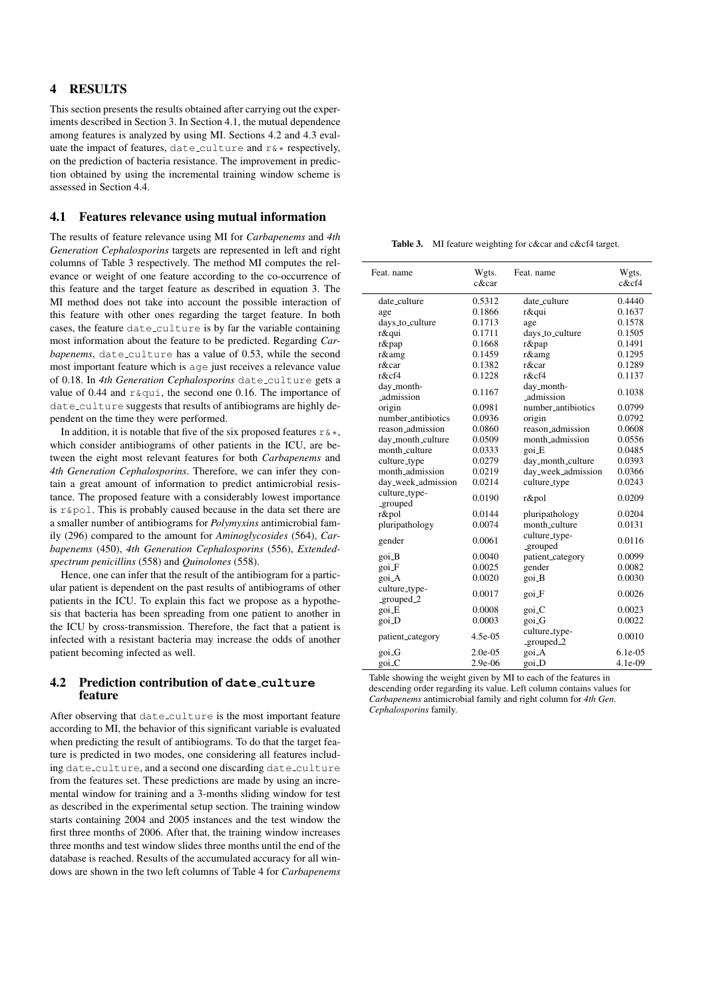# 4 RESULTS

This section presents the results obtained after carrying out the experiments described in Section 3. In Section 4.1, the mutual dependence among features is analyzed by using MI. Sections 4.2 and 4.3 evaluate the impact of features, date\_culture and  $r$ &\* respectively, on the prediction of bacteria resistance. The improvement in prediction obtained by using the incremental training window scheme is assessed in Section 4.4.

# 4.1 Features relevance using mutual information

The results of feature relevance using MI for *Carbapenems* and *4th Generation Cephalosporins* targets are represented in left and right columns of Table 3 respectively. The method MI computes the relevance or weight of one feature according to the co-occurrence of this feature and the target feature as described in equation 3. The MI method does not take into account the possible interaction of this feature with other ones regarding the target feature. In both cases, the feature date\_culture is by far the variable containing most information about the feature to be predicted. Regarding *Carbapenems*, date\_culture has a value of 0.53, while the second most important feature which is age just receives a relevance value of 0.18. In 4th Generation Cephalosporins date\_culture gets a value of 0.44 and  $r \&$ qui, the second one 0.16. The importance of date culture suggests that results of antibiograms are highly dependent on the time they were performed.

In addition, it is notable that five of the six proposed features  $r \& *$ , which consider antibiograms of other patients in the ICU, are between the eight most relevant features for both *Carbapenems* and *4th Generation Cephalosporins*. Therefore, we can infer they contain a great amount of information to predict antimicrobial resistance. The proposed feature with a considerably lowest importance is r&pol. This is probably caused because in the data set there are a smaller number of antibiograms for *Polymyxins* antimicrobial family (296) compared to the amount for *Aminoglycosides* (564), *Carbapenems* (450), *4th Generation Cephalosporins* (556), *Extendedspectrum penicillins* (558) and *Quinolones* (558).

Hence, one can infer that the result of the antibiogram for a particular patient is dependent on the past results of antibiograms of other patients in the ICU. To explain this fact we propose as a hypothesis that bacteria has been spreading from one patient to another in the ICU by cross-transmission. Therefore, the fact that a patient is infected with a resistant bacteria may increase the odds of another patient becoming infected as well.

## 4.2 Prediction contribution of **date culture** feature

After observing that date\_culture is the most important feature according to MI, the behavior of this significant variable is evaluated when predicting the result of antibiograms. To do that the target feature is predicted in two modes, one considering all features including date\_culture, and a second one discarding date\_culture from the features set. These predictions are made by using an incremental window for training and a 3-months sliding window for test as described in the experimental setup section. The training window starts containing 2004 and 2005 instances and the test window the first three months of 2006. After that, the training window increases three months and test window slides three months until the end of the database is reached. Results of the accumulated accuracy for all windows are shown in the two left columns of Table 4 for *Carbapenems*

Table 3. MI feature weighting for c&car and c&cf4 target.

| Feat. name                  | Wgts.     | Feat. name                  | Wgts.        |
|-----------------------------|-----------|-----------------------------|--------------|
|                             | $c\&car$  |                             | $c$ & $cf$ 4 |
| date_culture                | 0.5312    | date_culture                | 0.4440       |
| age                         | 0.1866    | r&qui                       | 0.1637       |
| days_to_culture             | 0.1713    | age                         | 0.1578       |
| r&qui                       | 0.1711    | days_to_culture             | 0.1505       |
| r&pap                       | 0.1668    | r&pap                       | 0.1491       |
| r&amg                       | 0.1459    | r&amg                       | 0.1295       |
| r&car                       | 0.1382    | r&car                       | 0.1289       |
| $r$ &cf4                    | 0.1228    | r&cf4                       | 0.1137       |
| day_month-<br>admission     | 0.1167    | day_month-<br>admission     | 0.1038       |
| origin                      | 0.0981    | number_antibiotics          | 0.0799       |
| number_antibiotics          | 0.0936    | origin                      | 0.0792       |
| reason_admission            | 0.0860    | reason_admission            | 0.0608       |
| day_month_culture           | 0.0509    | month_admission             | 0.0556       |
| month_culture               | 0.0333    | goi_E                       | 0.0485       |
| culture_type                | 0.0279    | day_month_culture           | 0.0393       |
| month admission             | 0.0219    | day_week_admission          | 0.0366       |
| day_week_admission          | 0.0214    | culture_type                | 0.0243       |
| culture_type-<br>_grouped   | 0.0190    | r&pol                       | 0.0209       |
| r&pol                       | 0.0144    | pluripathology              | 0.0204       |
| pluripathology              | 0.0074    | month_culture               | 0.0131       |
| gender                      | 0.0061    | culture_type-<br>_grouped   | 0.0116       |
| goi_B                       | 0.0040    | patient_category            | 0.0099       |
| goi_F                       | 0.0025    | gender                      | 0.0082       |
| goi_A                       | 0.0020    | goi_B                       | 0.0030       |
| culture_type-<br>_grouped_2 | 0.0017    | goi_F                       | 0.0026       |
| goi_E                       | 0.0008    | goi_C                       | 0.0023       |
| goi_D                       | 0.0003    | goi_G                       | 0.0022       |
| patient_category            | $4.5e-05$ | culture_type-<br>_grouped_2 | 0.0010       |
| goi_G                       | $2.0e-05$ | goi_A                       | $6.1e-0.5$   |
| goi_C                       | 2.9e-06   | goi_D                       | 4.1e-09      |

Table showing the weight given by MI to each of the features in descending order regarding its value. Left column contains values for *Carbapenems* antimicrobial family and right column for *4th Gen. Cephalosporins* family.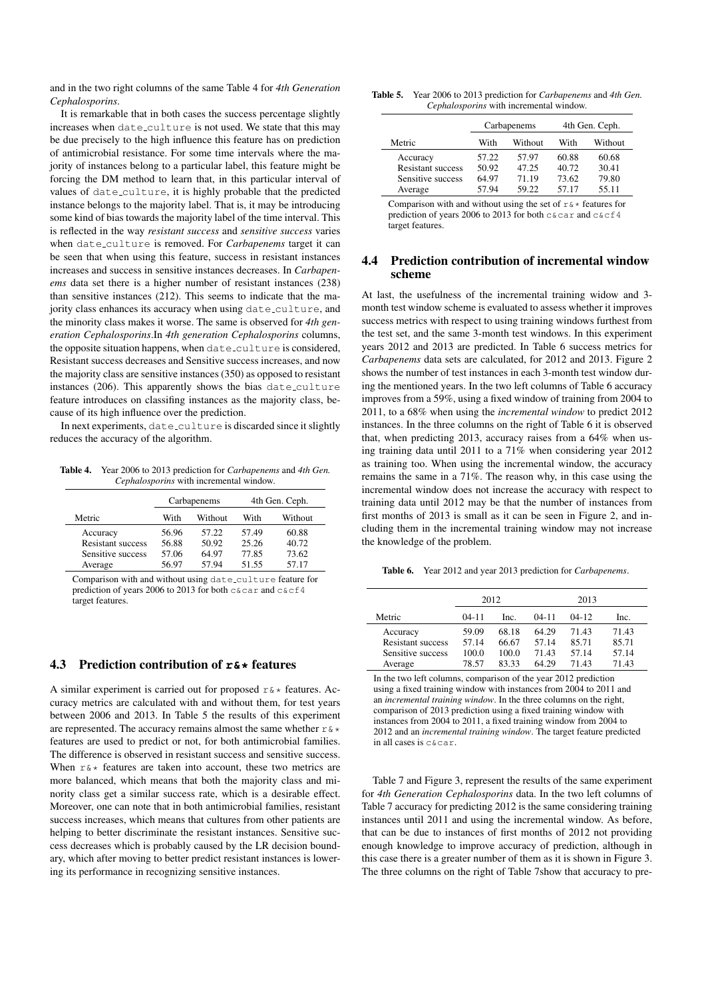and in the two right columns of the same Table 4 for *4th Generation Cephalosporins*.

It is remarkable that in both cases the success percentage slightly increases when date\_culture is not used. We state that this may be due precisely to the high influence this feature has on prediction of antimicrobial resistance. For some time intervals where the majority of instances belong to a particular label, this feature might be forcing the DM method to learn that, in this particular interval of values of date culture, it is highly probable that the predicted instance belongs to the majority label. That is, it may be introducing some kind of bias towards the majority label of the time interval. This is reflected in the way *resistant success* and *sensitive success* varies when date culture is removed. For *Carbapenems* target it can be seen that when using this feature, success in resistant instances increases and success in sensitive instances decreases. In *Carbapenems* data set there is a higher number of resistant instances (238) than sensitive instances (212). This seems to indicate that the majority class enhances its accuracy when using date\_culture, and the minority class makes it worse. The same is observed for *4th generation Cephalosporins*.In *4th generation Cephalosporins* columns, the opposite situation happens, when date\_culture is considered, Resistant success decreases and Sensitive success increases, and now the majority class are sensitive instances (350) as opposed to resistant instances (206). This apparently shows the bias date\_culture feature introduces on classifing instances as the majority class, because of its high influence over the prediction.

In next experiments, date\_culture is discarded since it slightly reduces the accuracy of the algorithm.

Table 4. Year 2006 to 2013 prediction for *Carbapenems* and *4th Gen. Cephalosporins* with incremental window.

|                          |       | Carbapenems | 4th Gen. Ceph. |         |  |
|--------------------------|-------|-------------|----------------|---------|--|
| Metric                   | With  | Without     | With           | Without |  |
| Accuracy                 | 56.96 | 57.22       | 57.49          | 60.88   |  |
| <b>Resistant success</b> | 56.88 | 50.92       | 25.26          | 40.72   |  |
| Sensitive success        | 57.06 | 64.97       | 77.85          | 73.62   |  |
| Average                  | 56.97 | 57.94       | 51.55          | 57.17   |  |

Comparison with and without using date\_culture feature for prediction of years 2006 to 2013 for both c&car and c&cf4 target features.

#### 4.3 Prediction contribution of **r&\*** features

A similar experiment is carried out for proposed  $r \& *$  features. Accuracy metrics are calculated with and without them, for test years between 2006 and 2013. In Table 5 the results of this experiment are represented. The accuracy remains almost the same whether  $r \*$ features are used to predict or not, for both antimicrobial families. The difference is observed in resistant success and sensitive success. When  $r \*$  features are taken into account, these two metrics are more balanced, which means that both the majority class and minority class get a similar success rate, which is a desirable effect. Moreover, one can note that in both antimicrobial families, resistant success increases, which means that cultures from other patients are helping to better discriminate the resistant instances. Sensitive success decreases which is probably caused by the LR decision boundary, which after moving to better predict resistant instances is lowering its performance in recognizing sensitive instances.

Table 5. Year 2006 to 2013 prediction for *Carbapenems* and *4th Gen. Cephalosporins* with incremental window.

|                          |       | Carbapenems | 4th Gen. Ceph. |         |  |
|--------------------------|-------|-------------|----------------|---------|--|
| Metric                   | With  | Without     | With           | Without |  |
| Accuracy                 | 57.22 | 57.97       | 60.88          | 60.68   |  |
| <b>Resistant success</b> | 50.92 | 47.25       | 40.72          | 30.41   |  |
| Sensitive success        | 64.97 | 71.19       | 73.62          | 79.80   |  |
| Average                  | 57.94 | 59.22       | 57.17          | 55.11   |  |

Comparison with and without using the set of  $r \& *$  features for prediction of years 2006 to 2013 for both c&car and c&cf4 target features.

### 4.4 Prediction contribution of incremental window scheme

At last, the usefulness of the incremental training widow and 3 month test window scheme is evaluated to assess whether it improves success metrics with respect to using training windows furthest from the test set, and the same 3-month test windows. In this experiment years 2012 and 2013 are predicted. In Table 6 success metrics for *Carbapenems* data sets are calculated, for 2012 and 2013. Figure 2 shows the number of test instances in each 3-month test window during the mentioned years. In the two left columns of Table 6 accuracy improves from a 59%, using a fixed window of training from 2004 to 2011, to a 68% when using the *incremental window* to predict 2012 instances. In the three columns on the right of Table 6 it is observed that, when predicting 2013, accuracy raises from a 64% when using training data until 2011 to a 71% when considering year 2012 as training too. When using the incremental window, the accuracy remains the same in a 71%. The reason why, in this case using the incremental window does not increase the accuracy with respect to training data until 2012 may be that the number of instances from first months of 2013 is small as it can be seen in Figure 2, and including them in the incremental training window may not increase the knowledge of the problem.

Table 6. Year 2012 and year 2013 prediction for *Carbapenems*.

|                          | 2012    |       | 2013    |         |       |
|--------------------------|---------|-------|---------|---------|-------|
| Metric                   | $04-11$ | Inc.  | $04-11$ | $04-12$ | Inc.  |
| Accuracy                 | 59.09   | 68.18 | 64.29   | 71.43   | 71.43 |
| <b>Resistant success</b> | 57.14   | 66.67 | 57.14   | 85.71   | 85.71 |
| Sensitive success        | 100.0   | 100.0 | 71.43   | 57.14   | 57.14 |
| Average                  | 78.57   | 83 33 | 64.29   | 71.43   | 71.43 |

In the two left columns, comparison of the year 2012 prediction using a fixed training window with instances from 2004 to 2011 and an *incremental training window*. In the three columns on the right, comparison of 2013 prediction using a fixed training window with instances from 2004 to 2011, a fixed training window from 2004 to 2012 and an *incremental training window*. The target feature predicted in all cases is c&car.

Table 7 and Figure 3, represent the results of the same experiment for *4th Generation Cephalosporins* data. In the two left columns of Table 7 accuracy for predicting 2012 is the same considering training instances until 2011 and using the incremental window. As before, that can be due to instances of first months of 2012 not providing enough knowledge to improve accuracy of prediction, although in this case there is a greater number of them as it is shown in Figure 3. The three columns on the right of Table 7show that accuracy to pre-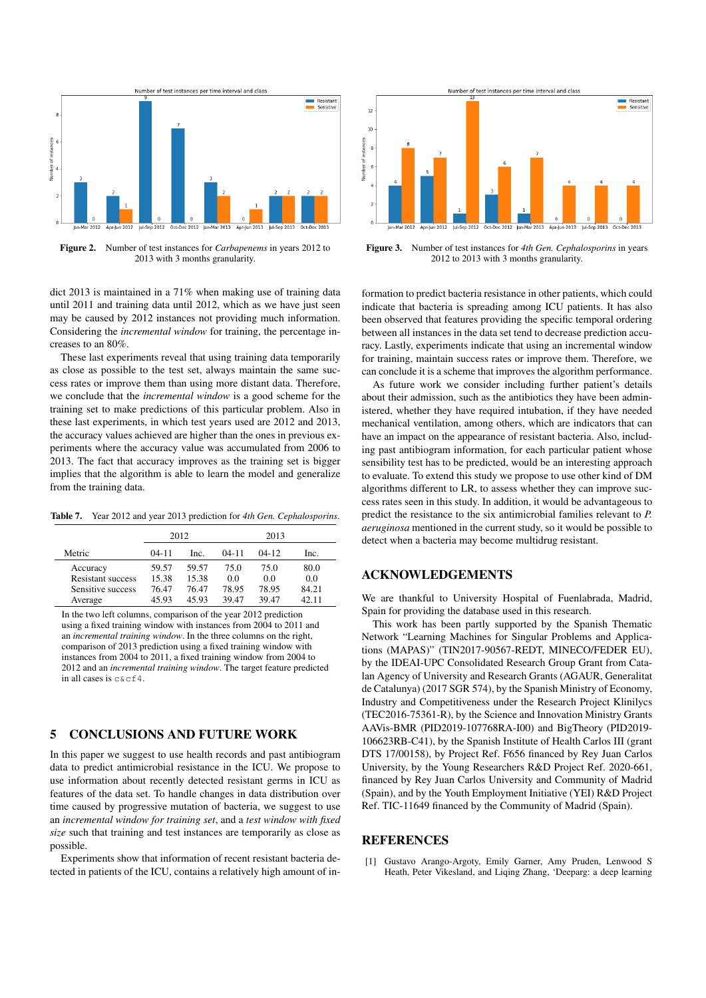

Figure 2. Number of test instances for *Carbapenems* in years 2012 to 2013 with 3 months granularity.

dict 2013 is maintained in a 71% when making use of training data until 2011 and training data until 2012, which as we have just seen may be caused by 2012 instances not providing much information. Considering the *incremental window* for training, the percentage increases to an 80%.

These last experiments reveal that using training data temporarily as close as possible to the test set, always maintain the same success rates or improve them than using more distant data. Therefore, we conclude that the *incremental window* is a good scheme for the training set to make predictions of this particular problem. Also in these last experiments, in which test years used are 2012 and 2013, the accuracy values achieved are higher than the ones in previous experiments where the accuracy value was accumulated from 2006 to 2013. The fact that accuracy improves as the training set is bigger implies that the algorithm is able to learn the model and generalize from the training data.

Table 7. Year 2012 and year 2013 prediction for *4th Gen. Cephalosporins*.

|                          |           | 2012  | 2013      |         |       |
|--------------------------|-----------|-------|-----------|---------|-------|
| Metric                   | $04 - 11$ | Inc.  | $04 - 11$ | $04-12$ | Inc.  |
| Accuracy                 | 59.57     | 59.57 | 75.0      | 75.0    | 80.0  |
| <b>Resistant success</b> | 15.38     | 15.38 | 0.0       | 0.0     | 0.0   |
| Sensitive success        | 76.47     | 76.47 | 78.95     | 78.95   | 84.21 |
| Average                  | 45.93     | 45.93 | 39.47     | 39.47   | 42.11 |

In the two left columns, comparison of the year 2012 prediction using a fixed training window with instances from 2004 to 2011 and an *incremental training window*. In the three columns on the right, comparison of 2013 prediction using a fixed training window with instances from 2004 to 2011, a fixed training window from 2004 to 2012 and an *incremental training window*. The target feature predicted in all cases is c&cf4.

# 5 CONCLUSIONS AND FUTURE WORK

In this paper we suggest to use health records and past antibiogram data to predict antimicrobial resistance in the ICU. We propose to use information about recently detected resistant germs in ICU as features of the data set. To handle changes in data distribution over time caused by progressive mutation of bacteria, we suggest to use an *incremental window for training set*, and a *test window with fixed size* such that training and test instances are temporarily as close as possible.

Experiments show that information of recent resistant bacteria detected in patients of the ICU, contains a relatively high amount of in-



Figure 3. Number of test instances for *4th Gen. Cephalosporins* in years 2012 to 2013 with 3 months granularity.

formation to predict bacteria resistance in other patients, which could indicate that bacteria is spreading among ICU patients. It has also been observed that features providing the specific temporal ordering between all instances in the data set tend to decrease prediction accuracy. Lastly, experiments indicate that using an incremental window for training, maintain success rates or improve them. Therefore, we can conclude it is a scheme that improves the algorithm performance.

As future work we consider including further patient's details about their admission, such as the antibiotics they have been administered, whether they have required intubation, if they have needed mechanical ventilation, among others, which are indicators that can have an impact on the appearance of resistant bacteria. Also, including past antibiogram information, for each particular patient whose sensibility test has to be predicted, would be an interesting approach to evaluate. To extend this study we propose to use other kind of DM algorithms different to LR, to assess whether they can improve success rates seen in this study. In addition, it would be advantageous to predict the resistance to the six antimicrobial families relevant to *P. aeruginosa* mentioned in the current study, so it would be possible to detect when a bacteria may become multidrug resistant.

## ACKNOWLEDGEMENTS

We are thankful to University Hospital of Fuenlabrada, Madrid, Spain for providing the database used in this research.

This work has been partly supported by the Spanish Thematic Network "Learning Machines for Singular Problems and Applications (MAPAS)" (TIN2017-90567-REDT, MINECO/FEDER EU), by the IDEAI-UPC Consolidated Research Group Grant from Catalan Agency of University and Research Grants (AGAUR, Generalitat de Catalunya) (2017 SGR 574), by the Spanish Ministry of Economy, Industry and Competitiveness under the Research Project Klinilycs (TEC2016-75361-R), by the Science and Innovation Ministry Grants AAVis-BMR (PID2019-107768RA-I00) and BigTheory (PID2019- 106623RB-C41), by the Spanish Institute of Health Carlos III (grant DTS 17/00158), by Project Ref. F656 financed by Rey Juan Carlos University, by the Young Researchers R&D Project Ref. 2020-661, financed by Rey Juan Carlos University and Community of Madrid (Spain), and by the Youth Employment Initiative (YEI) R&D Project Ref. TIC-11649 financed by the Community of Madrid (Spain).

#### REFERENCES

[1] Gustavo Arango-Argoty, Emily Garner, Amy Pruden, Lenwood S Heath, Peter Vikesland, and Liqing Zhang, 'Deeparg: a deep learning